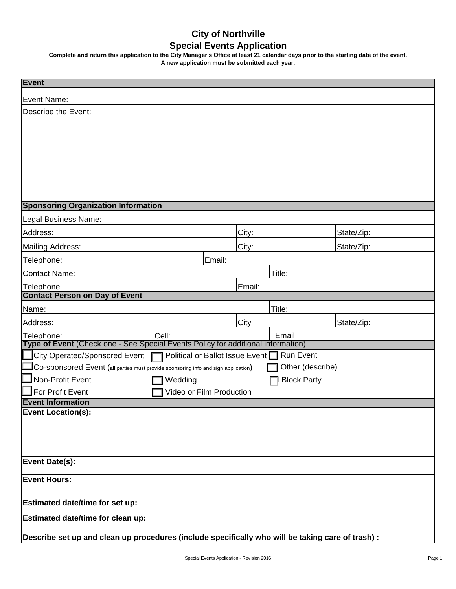## **City of Northville Special Events Application**

**Complete and return this application to the City Manager's Office at least 21 calendar days prior to the starting date of the event. A new application must be submitted each year.**

| <b>Event</b>                                                                                              |                          |                    |            |  |
|-----------------------------------------------------------------------------------------------------------|--------------------------|--------------------|------------|--|
| Event Name:                                                                                               |                          |                    |            |  |
| Describe the Event:                                                                                       |                          |                    |            |  |
|                                                                                                           |                          |                    |            |  |
|                                                                                                           |                          |                    |            |  |
|                                                                                                           |                          |                    |            |  |
|                                                                                                           |                          |                    |            |  |
|                                                                                                           |                          |                    |            |  |
|                                                                                                           |                          |                    |            |  |
|                                                                                                           |                          |                    |            |  |
| <b>Sponsoring Organization Information</b>                                                                |                          |                    |            |  |
| Legal Business Name:                                                                                      |                          |                    |            |  |
| Address:                                                                                                  | City:                    |                    | State/Zip: |  |
| Mailing Address:                                                                                          | City:                    |                    | State/Zip: |  |
| Telephone:                                                                                                | Email:                   |                    |            |  |
| <b>Contact Name:</b>                                                                                      |                          | Title:             |            |  |
| Telephone<br><b>Contact Person on Day of Event</b>                                                        | Email:                   |                    |            |  |
| Name:                                                                                                     |                          | Title:             |            |  |
| Address:                                                                                                  | City                     |                    | State/Zip: |  |
| Cell:<br>Telephone:                                                                                       |                          | Email:             |            |  |
| Type of Event (Check one - See Special Events Policy for additional information)                          |                          |                    |            |  |
| City Operated/Sponsored Event □ Political or Ballot Issue Event □                                         |                          | <b>Run Event</b>   |            |  |
| Co-sponsored Event (all parties must provide sponsoring info and sign application)                        |                          | Other (describe)   |            |  |
| Non-Profit Event<br>Wedding                                                                               |                          | <b>Block Party</b> |            |  |
| For Profit Event                                                                                          | Video or Film Production |                    |            |  |
| <b>Event Information</b><br><b>Event Location(s):</b>                                                     |                          |                    |            |  |
|                                                                                                           |                          |                    |            |  |
|                                                                                                           |                          |                    |            |  |
|                                                                                                           |                          |                    |            |  |
| <b>Event Date(s):</b>                                                                                     |                          |                    |            |  |
| <b>Event Hours:</b>                                                                                       |                          |                    |            |  |
|                                                                                                           |                          |                    |            |  |
| Estimated date/time for set up:                                                                           |                          |                    |            |  |
| Estimated date/time for clean up:                                                                         |                          |                    |            |  |
| $\vert$ Describe set up and clean up procedures (include specifically who will be taking care of trash) : |                          |                    |            |  |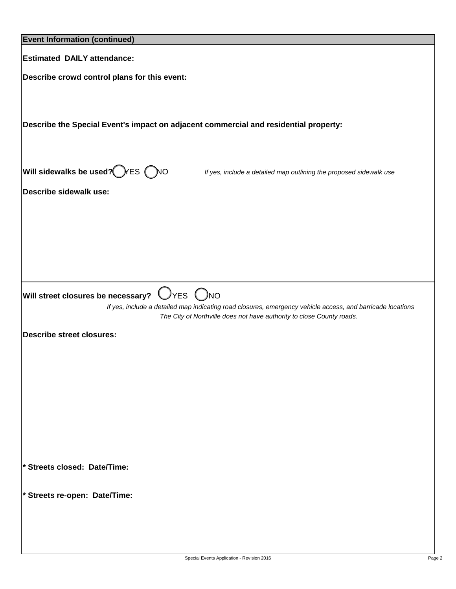| <b>Event Information (continued)</b>                                                                       |
|------------------------------------------------------------------------------------------------------------|
|                                                                                                            |
| <b>Estimated DAILY attendance:</b>                                                                         |
| Describe crowd control plans for this event:                                                               |
|                                                                                                            |
|                                                                                                            |
|                                                                                                            |
| Describe the Special Event's impact on adjacent commercial and residential property:                       |
|                                                                                                            |
|                                                                                                            |
| Will sidewalks be used? FES ONO<br>If yes, include a detailed map outlining the proposed sidewalk use      |
|                                                                                                            |
| <b>Describe sidewalk use:</b>                                                                              |
|                                                                                                            |
|                                                                                                            |
|                                                                                                            |
|                                                                                                            |
|                                                                                                            |
|                                                                                                            |
| $ $ Will street closures be necessary? $\;\bigcirc$ YES $\;\bigcirc$ NO                                    |
| If yes, include a detailed map indicating road closures, emergency vehicle access, and barricade locations |
| The City of Northville does not have authority to close County roads.                                      |
| <b>Describe street closures:</b>                                                                           |
|                                                                                                            |
|                                                                                                            |
|                                                                                                            |
|                                                                                                            |
|                                                                                                            |
|                                                                                                            |
|                                                                                                            |
|                                                                                                            |
|                                                                                                            |
| * Streets closed: Date/Time:                                                                               |
|                                                                                                            |
| * Streets re-open: Date/Time:                                                                              |
|                                                                                                            |
|                                                                                                            |
|                                                                                                            |
|                                                                                                            |

 $\mathbf l$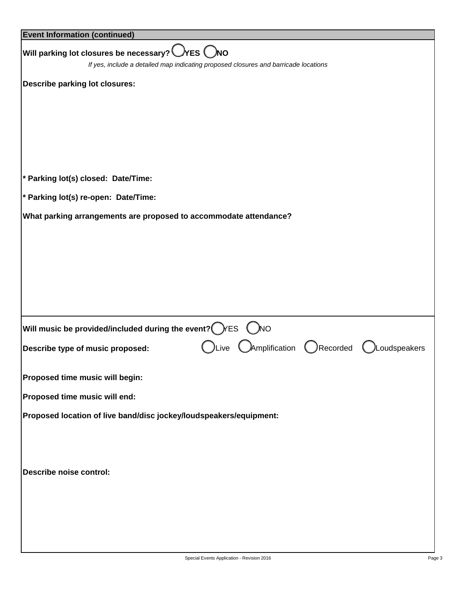| <b>Event Information (continued)</b>                                                |      |                          |              |
|-------------------------------------------------------------------------------------|------|--------------------------|--------------|
| Will parking lot closures be necessary? $\bigcirc$ YES $\bigcirc$ NO                |      |                          |              |
| If yes, include a detailed map indicating proposed closures and barricade locations |      |                          |              |
| <b>Describe parking lot closures:</b>                                               |      |                          |              |
|                                                                                     |      |                          |              |
|                                                                                     |      |                          |              |
|                                                                                     |      |                          |              |
|                                                                                     |      |                          |              |
|                                                                                     |      |                          |              |
| * Parking lot(s) closed: Date/Time:                                                 |      |                          |              |
| * Parking lot(s) re-open: Date/Time:                                                |      |                          |              |
| What parking arrangements are proposed to accommodate attendance?                   |      |                          |              |
|                                                                                     |      |                          |              |
|                                                                                     |      |                          |              |
|                                                                                     |      |                          |              |
|                                                                                     |      |                          |              |
|                                                                                     |      |                          |              |
|                                                                                     |      |                          |              |
| Will music be provided/included during the event? $\bigcirc$ / ES                   |      | $N$ O                    |              |
| Describe type of music proposed:                                                    | Live | CAmplification CRecorded | Loudspeakers |
|                                                                                     |      |                          |              |
| Proposed time music will begin:                                                     |      |                          |              |
| Proposed time music will end:                                                       |      |                          |              |
| Proposed location of live band/disc jockey/loudspeakers/equipment:                  |      |                          |              |
|                                                                                     |      |                          |              |
|                                                                                     |      |                          |              |
|                                                                                     |      |                          |              |
| <b>Describe noise control:</b>                                                      |      |                          |              |
|                                                                                     |      |                          |              |
|                                                                                     |      |                          |              |
|                                                                                     |      |                          |              |
|                                                                                     |      |                          |              |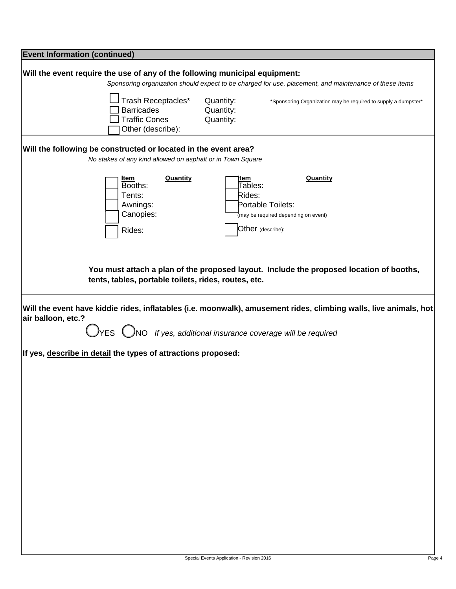| <b>Event Information (continued)</b>                                                                                                                                                                                          |  |  |  |  |  |  |
|-------------------------------------------------------------------------------------------------------------------------------------------------------------------------------------------------------------------------------|--|--|--|--|--|--|
| Will the event require the use of any of the following municipal equipment:<br>Sponsoring organization should expect to be charged for use, placement, and maintenance of these items                                         |  |  |  |  |  |  |
| Trash Receptacles*<br>Quantity:<br>*Sponsoring Organization may be required to supply a dumpster*<br><b>Barricades</b><br>Quantity:<br><b>Traffic Cones</b><br>Quantity:<br>Other (describe):                                 |  |  |  |  |  |  |
| Will the following be constructed or located in the event area?<br>No stakes of any kind allowed on asphalt or in Town Square                                                                                                 |  |  |  |  |  |  |
| <b>Quantity</b><br><b>Quantity</b><br>Item<br>ltem<br>Booths:<br>Tables:<br>Tents:<br>Rides:<br>Awnings:<br>Portable Toilets:<br>Canopies:<br>may be required depending on event)<br>Other (describe):<br>Rides:              |  |  |  |  |  |  |
| You must attach a plan of the proposed layout. Include the proposed location of booths,<br>tents, tables, portable toilets, rides, routes, etc.                                                                               |  |  |  |  |  |  |
| Will the event have kiddie rides, inflatables (i.e. moonwalk), amusement rides, climbing walls, live animals, hot<br>air balloon, etc.?<br>$\bigcup$ YES $\bigcirc$ NO If yes, additional insurance coverage will be required |  |  |  |  |  |  |
| If yes, describe in detail the types of attractions proposed:                                                                                                                                                                 |  |  |  |  |  |  |
|                                                                                                                                                                                                                               |  |  |  |  |  |  |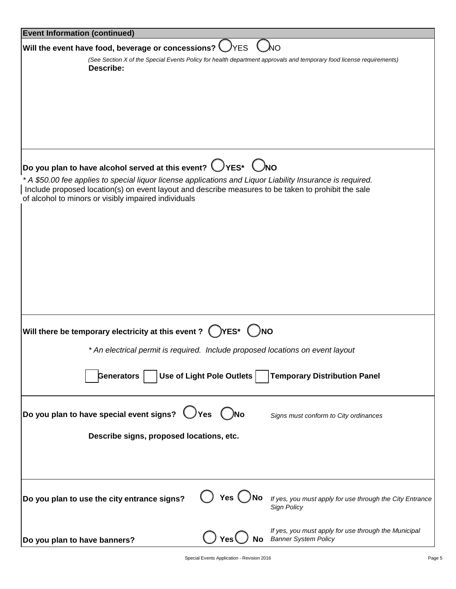| <b>Event Information (continued)</b>                                                                                                                                                                                                                                      |                               |                                                                                                                      |
|---------------------------------------------------------------------------------------------------------------------------------------------------------------------------------------------------------------------------------------------------------------------------|-------------------------------|----------------------------------------------------------------------------------------------------------------------|
| Will the event have food, beverage or concessions? $\bigcup$ YES                                                                                                                                                                                                          |                               | λο                                                                                                                   |
| Describe:                                                                                                                                                                                                                                                                 |                               | (See Section X of the Special Events Policy for health department approvals and temporary food license requirements) |
|                                                                                                                                                                                                                                                                           |                               |                                                                                                                      |
|                                                                                                                                                                                                                                                                           |                               |                                                                                                                      |
|                                                                                                                                                                                                                                                                           |                               |                                                                                                                      |
|                                                                                                                                                                                                                                                                           |                               |                                                                                                                      |
|                                                                                                                                                                                                                                                                           |                               |                                                                                                                      |
| $ $ Do you plan to have alcohol served at this event? $\bigcirc$ YES* $\bigcirc$ NO                                                                                                                                                                                       |                               |                                                                                                                      |
| * A \$50.00 fee applies to special liquor license applications and Liquor Liability Insurance is required.<br>Include proposed location(s) on event layout and describe measures to be taken to prohibit the sale<br>of alcohol to minors or visibly impaired individuals |                               |                                                                                                                      |
|                                                                                                                                                                                                                                                                           |                               |                                                                                                                      |
|                                                                                                                                                                                                                                                                           |                               |                                                                                                                      |
|                                                                                                                                                                                                                                                                           |                               |                                                                                                                      |
|                                                                                                                                                                                                                                                                           |                               |                                                                                                                      |
|                                                                                                                                                                                                                                                                           |                               |                                                                                                                      |
|                                                                                                                                                                                                                                                                           |                               |                                                                                                                      |
|                                                                                                                                                                                                                                                                           |                               |                                                                                                                      |
| Will there be temporary electricity at this event ? $\bigcirc$ YES* $\bigcirc$ NO                                                                                                                                                                                         |                               |                                                                                                                      |
| * An electrical permit is required. Include proposed locations on event layout                                                                                                                                                                                            |                               |                                                                                                                      |
|                                                                                                                                                                                                                                                                           |                               |                                                                                                                      |
| Generators                                                                                                                                                                                                                                                                | Use of Light Pole Outlets     | <b>Temporary Distribution Panel</b>                                                                                  |
|                                                                                                                                                                                                                                                                           |                               |                                                                                                                      |
| Do you plan to have special event signs?                                                                                                                                                                                                                                  | )Yes                          | Signs must conform to City ordinances                                                                                |
| Describe signs, proposed locations, etc.                                                                                                                                                                                                                                  |                               |                                                                                                                      |
|                                                                                                                                                                                                                                                                           |                               |                                                                                                                      |
|                                                                                                                                                                                                                                                                           |                               |                                                                                                                      |
|                                                                                                                                                                                                                                                                           |                               |                                                                                                                      |
| Do you plan to use the city entrance signs?                                                                                                                                                                                                                               | Yes $\bigcup$                 | If yes, you must apply for use through the City Entrance<br>Sign Policy                                              |
|                                                                                                                                                                                                                                                                           |                               |                                                                                                                      |
| Do you plan to have banners?                                                                                                                                                                                                                                              | Yes <sup>(</sup><br><b>No</b> | If yes, you must apply for use through the Municipal<br><b>Banner System Policy</b>                                  |